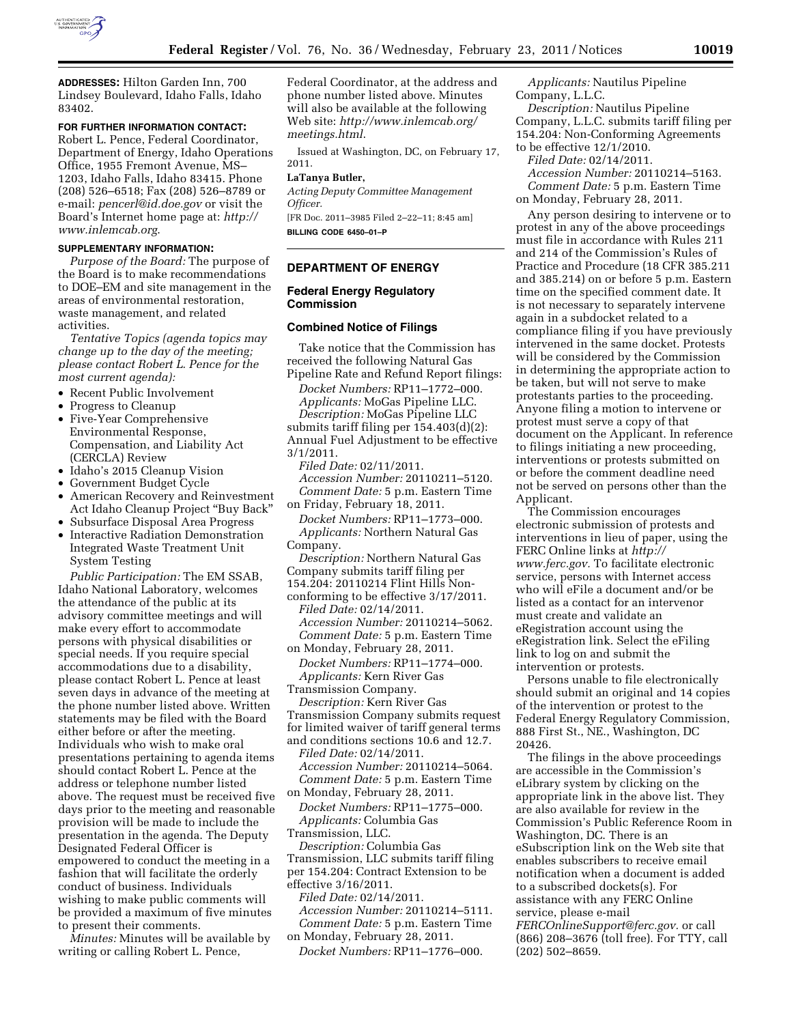

**ADDRESSES:** Hilton Garden Inn, 700 Lindsey Boulevard, Idaho Falls, Idaho 83402.

# **FOR FURTHER INFORMATION CONTACT:**

Robert L. Pence, Federal Coordinator, Department of Energy, Idaho Operations Office, 1955 Fremont Avenue, MS– 1203, Idaho Falls, Idaho 83415. Phone (208) 526–6518; Fax (208) 526–8789 or e-mail: *[pencerl@id.doe.gov](mailto:pencerl@id.doe.gov)* or visit the Board's Internet home page at: *[http://](http://www.inlemcab.org) [www.inlemcab.org](http://www.inlemcab.org)*.

### **SUPPLEMENTARY INFORMATION:**

*Purpose of the Board:* The purpose of the Board is to make recommendations to DOE–EM and site management in the areas of environmental restoration, waste management, and related activities.

*Tentative Topics (agenda topics may change up to the day of the meeting; please contact Robert L. Pence for the most current agenda):* 

- Recent Public Involvement
- Progress to Cleanup
- Five-Year Comprehensive Environmental Response, Compensation, and Liability Act (CERCLA) Review
- Idaho's 2015 Cleanup Vision
- Government Budget Cycle
- American Recovery and Reinvestment Act Idaho Cleanup Project ''Buy Back''
- Subsurface Disposal Area Progress
- Interactive Radiation Demonstration Integrated Waste Treatment Unit System Testing

*Public Participation:* The EM SSAB, Idaho National Laboratory, welcomes the attendance of the public at its advisory committee meetings and will make every effort to accommodate persons with physical disabilities or special needs. If you require special accommodations due to a disability, please contact Robert L. Pence at least seven days in advance of the meeting at the phone number listed above. Written statements may be filed with the Board either before or after the meeting. Individuals who wish to make oral presentations pertaining to agenda items should contact Robert L. Pence at the address or telephone number listed above. The request must be received five days prior to the meeting and reasonable provision will be made to include the presentation in the agenda. The Deputy Designated Federal Officer is empowered to conduct the meeting in a fashion that will facilitate the orderly conduct of business. Individuals wishing to make public comments will be provided a maximum of five minutes to present their comments.

*Minutes:* Minutes will be available by writing or calling Robert L. Pence,

Federal Coordinator, at the address and phone number listed above. Minutes will also be available at the following Web site: *[http://www.inlemcab.org/](http://www.inlemcab.org/meetings.html) [meetings.html](http://www.inlemcab.org/meetings.html)*.

Issued at Washington, DC, on February 17, 2011.

## **LaTanya Butler,**

*Acting Deputy Committee Management Officer.* 

[FR Doc. 2011–3985 Filed 2–22–11; 8:45 am] **BILLING CODE 6450–01–P** 

## **DEPARTMENT OF ENERGY**

### **Federal Energy Regulatory Commission**

#### **Combined Notice of Filings**

Take notice that the Commission has received the following Natural Gas Pipeline Rate and Refund Report filings:

*Docket Numbers:* RP11–1772–000. *Applicants:* MoGas Pipeline LLC.

*Description:* MoGas Pipeline LLC submits tariff filing per 154.403(d)(2): Annual Fuel Adjustment to be effective 3/1/2011.

*Filed Date:* 02/11/2011. *Accession Number:* 20110211–5120. *Comment Date:* 5 p.m. Eastern Time on Friday, February 18, 2011.

*Docket Numbers:* RP11–1773–000. *Applicants:* Northern Natural Gas Company.

*Description:* Northern Natural Gas Company submits tariff filing per 154.204: 20110214 Flint Hills Nonconforming to be effective 3/17/2011. *Filed Date:* 02/14/2011.

*Accession Number:* 20110214–5062. *Comment Date:* 5 p.m. Eastern Time on Monday, February 28, 2011.

*Docket Numbers:* RP11–1774–000. *Applicants:* Kern River Gas

Transmission Company.

*Description:* Kern River Gas Transmission Company submits request for limited waiver of tariff general terms and conditions sections 10.6 and 12.7.

*Filed Date:* 02/14/2011. *Accession Number:* 20110214–5064. *Comment Date:* 5 p.m. Eastern Time on Monday, February 28, 2011.

*Docket Numbers:* RP11–1775–000. *Applicants:* Columbia Gas Transmission, LLC.

*Description:* Columbia Gas Transmission, LLC submits tariff filing

per 154.204: Contract Extension to be effective 3/16/2011.

*Filed Date:* 02/14/2011.

*Accession Number:* 20110214–5111. *Comment Date:* 5 p.m. Eastern Time on Monday, February 28, 2011.

*Docket Numbers:* RP11–1776–000.

*Applicants:* Nautilus Pipeline Company, L.L.C.

*Description:* Nautilus Pipeline Company, L.L.C. submits tariff filing per 154.204: Non-Conforming Agreements to be effective 12/1/2010.

*Filed Date:* 02/14/2011.

*Accession Number:* 20110214–5163. *Comment Date:* 5 p.m. Eastern Time on Monday, February 28, 2011.

Any person desiring to intervene or to protest in any of the above proceedings must file in accordance with Rules 211 and 214 of the Commission's Rules of Practice and Procedure (18 CFR 385.211 and 385.214) on or before 5 p.m. Eastern time on the specified comment date. It is not necessary to separately intervene again in a subdocket related to a compliance filing if you have previously intervened in the same docket. Protests will be considered by the Commission in determining the appropriate action to be taken, but will not serve to make protestants parties to the proceeding. Anyone filing a motion to intervene or protest must serve a copy of that document on the Applicant. In reference to filings initiating a new proceeding, interventions or protests submitted on or before the comment deadline need not be served on persons other than the Applicant.

The Commission encourages electronic submission of protests and interventions in lieu of paper, using the FERC Online links at *[http://](http://www.ferc.gov)  [www.ferc.gov.](http://www.ferc.gov)* To facilitate electronic service, persons with Internet access who will eFile a document and/or be listed as a contact for an intervenor must create and validate an eRegistration account using the eRegistration link. Select the eFiling link to log on and submit the intervention or protests.

Persons unable to file electronically should submit an original and 14 copies of the intervention or protest to the Federal Energy Regulatory Commission, 888 First St., NE., Washington, DC 20426.

The filings in the above proceedings are accessible in the Commission's eLibrary system by clicking on the appropriate link in the above list. They are also available for review in the Commission's Public Reference Room in Washington, DC. There is an eSubscription link on the Web site that enables subscribers to receive email notification when a document is added to a subscribed dockets(s). For assistance with any FERC Online service, please e-mail *[FERCOnlineSupport@ferc.gov.](mailto:FERCOnlineSupport@ferc.gov)* or call (866) 208–3676 (toll free). For TTY, call (202) 502–8659.